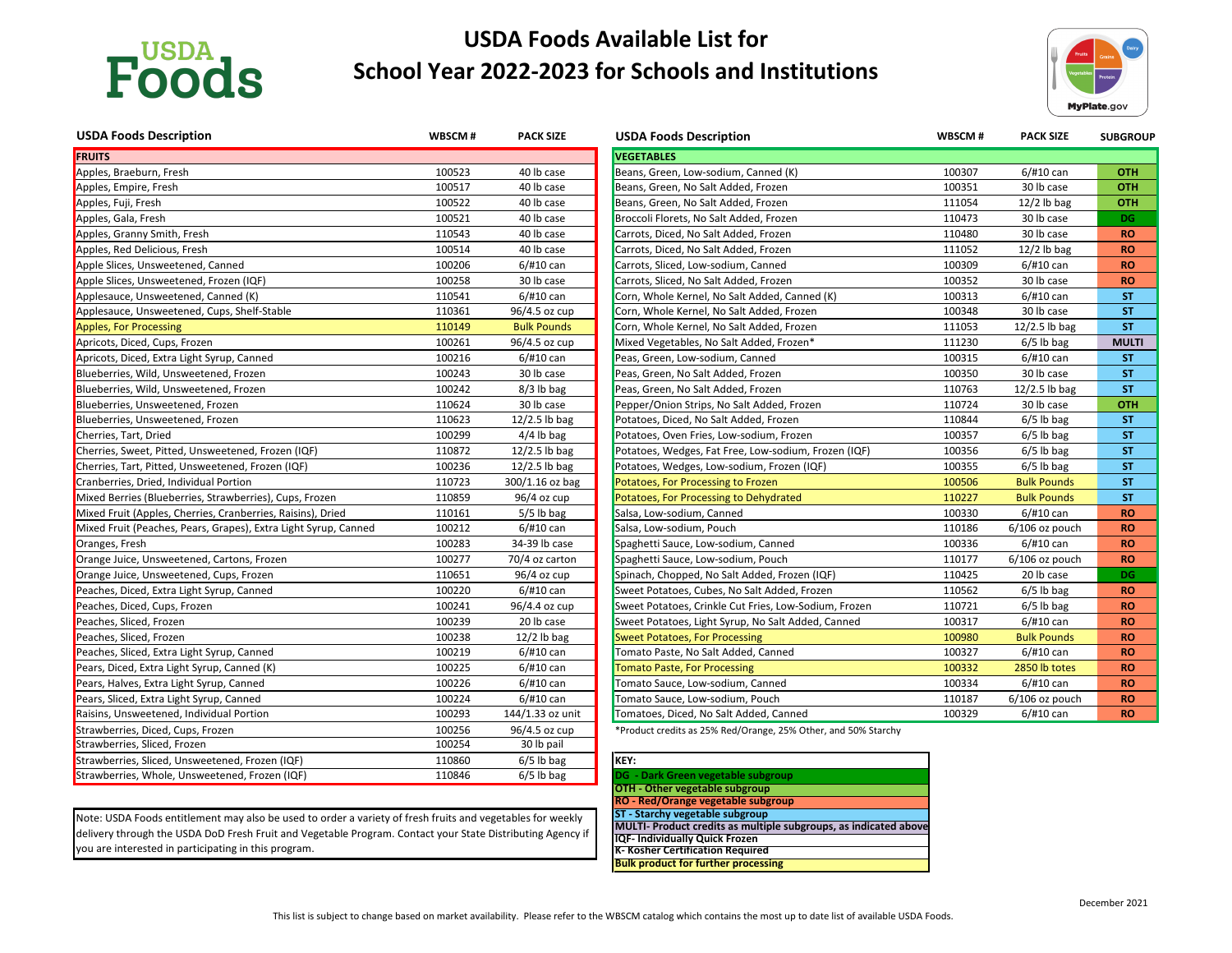

# **USDA Foods Available List for School Year 2022-2023 for Schools and Institutions**

| <b>USDA Foods Description</b>                                   | WBSCM# | <b>PACK SIZE</b>   | <b>USDA Foods Description</b>                         | WBSCM# | <b>PACK SIZE</b>   | <b>SUBGROUP</b> |
|-----------------------------------------------------------------|--------|--------------------|-------------------------------------------------------|--------|--------------------|-----------------|
| <b>FRUITS</b>                                                   |        |                    | <b>VEGETABLES</b>                                     |        |                    |                 |
| Apples, Braeburn, Fresh                                         | 100523 | 40 lb case         | Beans, Green, Low-sodium, Canned (K)                  | 100307 | $6/$ #10 can       | <b>OTH</b>      |
| Apples, Empire, Fresh                                           | 100517 | 40 lb case         | Beans, Green, No Salt Added, Frozen                   | 100351 | 30 lb case         | <b>OTH</b>      |
| Apples, Fuji, Fresh                                             | 100522 | 40 lb case         | Beans, Green, No Salt Added, Frozen                   | 111054 | $12/2$ lb bag      | <b>OTH</b>      |
| Apples, Gala, Fresh                                             | 100521 | 40 lb case         | Broccoli Florets, No Salt Added, Frozen               | 110473 | 30 lb case         | <b>DG</b>       |
| Apples, Granny Smith, Fresh                                     | 110543 | 40 lb case         | Carrots, Diced, No Salt Added, Frozen                 | 110480 | 30 lb case         | <b>RO</b>       |
| Apples, Red Delicious, Fresh                                    | 100514 | 40 lb case         | Carrots, Diced, No Salt Added, Frozen                 | 111052 | $12/2$ lb bag      | <b>RO</b>       |
| Apple Slices, Unsweetened, Canned                               | 100206 | $6/$ #10 can       | Carrots, Sliced, Low-sodium, Canned                   | 100309 | $6/$ #10 can       | <b>RO</b>       |
| Apple Slices, Unsweetened, Frozen (IQF)                         | 100258 | 30 lb case         | Carrots, Sliced, No Salt Added, Frozen                | 100352 | 30 lb case         | <b>RO</b>       |
| Applesauce, Unsweetened, Canned (K)                             | 110541 | $6/$ #10 can       | Corn, Whole Kernel, No Salt Added, Canned (K)         | 100313 | $6/$ #10 can       | <b>ST</b>       |
| Applesauce, Unsweetened, Cups, Shelf-Stable                     | 110361 | 96/4.5 oz cup      | Corn, Whole Kernel, No Salt Added, Frozen             | 100348 | 30 lb case         | <b>ST</b>       |
| <b>Apples, For Processing</b>                                   | 110149 | <b>Bulk Pounds</b> | Corn, Whole Kernel, No Salt Added, Frozen             | 111053 | $12/2.5$ lb bag    | <b>ST</b>       |
| Apricots, Diced, Cups, Frozen                                   | 100261 | 96/4.5 oz cup      | Mixed Vegetables, No Salt Added, Frozen*              | 111230 | $6/5$ lb bag       | <b>MULTI</b>    |
| Apricots, Diced, Extra Light Syrup, Canned                      | 100216 | $6/$ #10 can       | Peas, Green, Low-sodium, Canned                       | 100315 | $6/$ #10 can       | <b>ST</b>       |
| Blueberries, Wild, Unsweetened, Frozen                          | 100243 | 30 lb case         | Peas, Green, No Salt Added, Frozen                    | 100350 | 30 lb case         | <b>ST</b>       |
| Blueberries, Wild, Unsweetened, Frozen                          | 100242 | $8/3$ lb bag       | Peas, Green, No Salt Added, Frozen                    | 110763 | $12/2.5$ lb bag    | <b>ST</b>       |
| Blueberries, Unsweetened, Frozen                                | 110624 | 30 lb case         | Pepper/Onion Strips, No Salt Added, Frozen            | 110724 | 30 lb case         | <b>OTH</b>      |
| Blueberries, Unsweetened, Frozen                                | 110623 | $12/2.5$ lb bag    | Potatoes, Diced, No Salt Added, Frozen                | 110844 | $6/5$ lb bag       | <b>ST</b>       |
| Cherries, Tart, Dried                                           | 100299 | $4/4$ lb bag       | Potatoes, Oven Fries, Low-sodium, Frozen              | 100357 | $6/5$ lb bag       | <b>ST</b>       |
| Cherries, Sweet, Pitted, Unsweetened, Frozen (IQF)              | 110872 | $12/2.5$ lb bag    | Potatoes, Wedges, Fat Free, Low-sodium, Frozen (IQF)  | 100356 | $6/5$ lb bag       | <b>ST</b>       |
| Cherries, Tart, Pitted, Unsweetened, Frozen (IQF)               | 100236 | $12/2.5$ lb bag    | Potatoes, Wedges, Low-sodium, Frozen (IQF)            | 100355 | $6/5$ lb bag       | <b>ST</b>       |
| Cranberries, Dried, Individual Portion                          | 110723 | 300/1.16 oz bag    | Potatoes, For Processing to Frozen                    | 100506 | <b>Bulk Pounds</b> | <b>ST</b>       |
| Mixed Berries (Blueberries, Strawberries), Cups, Frozen         | 110859 | 96/4 oz cup        | Potatoes, For Processing to Dehydrated                | 110227 | <b>Bulk Pounds</b> | <b>ST</b>       |
| Mixed Fruit (Apples, Cherries, Cranberries, Raisins), Dried     | 110161 | $5/5$ lb bag       | Salsa, Low-sodium, Canned                             | 100330 | $6/$ #10 can       | <b>RO</b>       |
| Mixed Fruit (Peaches, Pears, Grapes), Extra Light Syrup, Canned | 100212 | $6/$ #10 can       | Salsa, Low-sodium, Pouch                              | 110186 | 6/106 oz pouch     | <b>RO</b>       |
| Oranges, Fresh                                                  | 100283 | 34-39 lb case      | Spaghetti Sauce, Low-sodium, Canned                   | 100336 | $6/$ #10 can       | <b>RO</b>       |
| Orange Juice, Unsweetened, Cartons, Frozen                      | 100277 | 70/4 oz carton     | Spaghetti Sauce, Low-sodium, Pouch                    | 110177 | $6/106$ oz pouch   | <b>RO</b>       |
| Orange Juice, Unsweetened, Cups, Frozen                         | 110651 | $96/4$ oz cup      | Spinach, Chopped, No Salt Added, Frozen (IQF)         | 110425 | 20 lb case         | DG.             |
| Peaches, Diced, Extra Light Syrup, Canned                       | 100220 | $6/$ #10 can       | Sweet Potatoes, Cubes, No Salt Added, Frozen          | 110562 | $6/5$ lb bag       | <b>RO</b>       |
| Peaches, Diced, Cups, Frozen                                    | 100241 | 96/4.4 oz cup      | Sweet Potatoes, Crinkle Cut Fries, Low-Sodium, Frozen | 110721 | $6/5$ lb bag       | <b>RO</b>       |
| Peaches, Sliced, Frozen                                         | 100239 | 20 lb case         | Sweet Potatoes, Light Syrup, No Salt Added, Canned    | 100317 | $6/$ #10 can       | <b>RO</b>       |
| Peaches, Sliced, Frozen                                         | 100238 | $12/2$ lb bag      | <b>Sweet Potatoes, For Processing</b>                 | 100980 | <b>Bulk Pounds</b> | <b>RO</b>       |
| Peaches, Sliced, Extra Light Syrup, Canned                      | 100219 | 6/#10 can          | Tomato Paste, No Salt Added, Canned                   | 100327 | $6/$ #10 can       | <b>RO</b>       |
| Pears, Diced, Extra Light Syrup, Canned (K)                     | 100225 | $6/$ #10 can       | <b>Tomato Paste, For Processing</b>                   | 100332 | 2850 lb totes      | <b>RO</b>       |
| Pears, Halves, Extra Light Syrup, Canned                        | 100226 | $6/$ #10 can       | Tomato Sauce, Low-sodium, Canned                      | 100334 | $6/$ #10 can       | <b>RO</b>       |
| Pears, Sliced, Extra Light Syrup, Canned                        | 100224 | $6/$ #10 can       | Tomato Sauce, Low-sodium, Pouch                       | 110187 | $6/106$ oz pouch   | <b>RO</b>       |
| Raisins, Unsweetened, Individual Portion                        | 100293 | 144/1.33 oz unit   | Tomatoes, Diced, No Salt Added, Canned                | 100329 | 6/#10 can          | <b>RO</b>       |
|                                                                 |        |                    |                                                       |        |                    |                 |

\*Product credits as 25% Red/Orange, 25% Other, and 50% Starchy

| <b>USDA Foods Description</b>                                   | WBSCM# | <b>PACK SIZE</b>   | <b>USDA Foods Description</b>           |
|-----------------------------------------------------------------|--------|--------------------|-----------------------------------------|
| <b>FRUITS</b>                                                   |        |                    | <b>VEGETABLES</b>                       |
| Apples, Braeburn, Fresh                                         | 100523 | 40 lb case         | Beans, Green, Low-sodium, Canned (k     |
| Apples, Empire, Fresh                                           | 100517 | 40 lb case         | Beans, Green, No Salt Added, Frozen     |
| Apples, Fuji, Fresh                                             | 100522 | 40 lb case         | Beans, Green, No Salt Added, Frozen     |
| Apples, Gala, Fresh                                             | 100521 | 40 lb case         | Broccoli Florets, No Salt Added, Froze  |
| Apples, Granny Smith, Fresh                                     | 110543 | 40 lb case         | Carrots, Diced, No Salt Added, Frozen   |
| Apples, Red Delicious, Fresh                                    | 100514 | 40 lb case         | Carrots, Diced, No Salt Added, Frozen   |
| Apple Slices, Unsweetened, Canned                               | 100206 | $6/$ #10 can       | Carrots, Sliced, Low-sodium, Canned     |
| Apple Slices, Unsweetened, Frozen (IQF)                         | 100258 | 30 lb case         | Carrots, Sliced, No Salt Added, Frozen  |
| Applesauce, Unsweetened, Canned (K)                             | 110541 | $6/$ #10 can       | Corn, Whole Kernel, No Salt Added, Ca   |
| Applesauce, Unsweetened, Cups, Shelf-Stable                     | 110361 | 96/4.5 oz cup      | Corn, Whole Kernel, No Salt Added, Fr   |
| Apples, For Processing                                          | 110149 | <b>Bulk Pounds</b> | Corn, Whole Kernel, No Salt Added, Fr   |
| Apricots, Diced, Cups, Frozen                                   | 100261 | 96/4.5 oz cup      | Mixed Vegetables, No Salt Added, Fro    |
| Apricots, Diced, Extra Light Syrup, Canned                      | 100216 | $6/$ #10 can       | Peas, Green, Low-sodium, Canned         |
| Blueberries, Wild, Unsweetened, Frozen                          | 100243 | 30 lb case         | Peas, Green, No Salt Added, Frozen      |
| Blueberries, Wild, Unsweetened, Frozen                          | 100242 | $8/3$ lb bag       | Peas, Green, No Salt Added, Frozen      |
| Blueberries, Unsweetened, Frozen                                | 110624 | 30 lb case         | Pepper/Onion Strips, No Salt Added, F   |
| Blueberries, Unsweetened, Frozen                                | 110623 | $12/2.5$ lb bag    | Potatoes, Diced, No Salt Added, Froze   |
| Cherries, Tart, Dried                                           | 100299 | $4/4$ lb bag       | Potatoes, Oven Fries, Low-sodium, Fro   |
| Cherries, Sweet, Pitted, Unsweetened, Frozen (IQF)              | 110872 | $12/2.5$ lb bag    | Potatoes, Wedges, Fat Free, Low-sodi    |
| Cherries, Tart, Pitted, Unsweetened, Frozen (IQF)               | 100236 | $12/2.5$ lb bag    | Potatoes, Wedges, Low-sodium, Froze     |
| Cranberries, Dried, Individual Portion                          | 110723 | $300/1.16$ oz bag  | Potatoes, For Processing to Frozen      |
| Mixed Berries (Blueberries, Strawberries), Cups, Frozen         | 110859 | 96/4 oz cup        | Potatoes, For Processing to Dehydrate   |
| Mixed Fruit (Apples, Cherries, Cranberries, Raisins), Dried     | 110161 | $5/5$ lb bag       | Salsa, Low-sodium, Canned               |
| Mixed Fruit (Peaches, Pears, Grapes), Extra Light Syrup, Canned | 100212 | 6/#10 can          | Salsa, Low-sodium, Pouch                |
| Oranges, Fresh                                                  | 100283 | 34-39 lb case      | Spaghetti Sauce, Low-sodium, Canned     |
| Orange Juice, Unsweetened, Cartons, Frozen                      | 100277 | 70/4 oz carton     | Spaghetti Sauce, Low-sodium, Pouch      |
| Orange Juice, Unsweetened, Cups, Frozen                         | 110651 | $96/4$ oz cup      | Spinach, Chopped, No Salt Added, Fro    |
| Peaches, Diced, Extra Light Syrup, Canned                       | 100220 | $6/$ #10 can       | Sweet Potatoes, Cubes, No Salt Added    |
| Peaches, Diced, Cups, Frozen                                    | 100241 | 96/4.4 oz cup      | Sweet Potatoes, Crinkle Cut Fries, Low  |
| Peaches, Sliced, Frozen                                         | 100239 | 20 lb case         | Sweet Potatoes, Light Syrup, No Salt A  |
| Peaches, Sliced, Frozen                                         | 100238 | $12/2$ lb bag      | <b>Sweet Potatoes, For Processing</b>   |
| Peaches, Sliced, Extra Light Syrup, Canned                      | 100219 | $6/$ #10 can       | Tomato Paste, No Salt Added, Canned     |
| Pears, Diced, Extra Light Syrup, Canned (K)                     | 100225 | $6/$ #10 can       | <b>Tomato Paste, For Processing</b>     |
| Pears, Halves, Extra Light Syrup, Canned                        | 100226 | $6/$ #10 can       | Tomato Sauce, Low-sodium, Canned        |
| Pears, Sliced, Extra Light Syrup, Canned                        | 100224 | $6/$ #10 can       | Tomato Sauce, Low-sodium, Pouch         |
| Raisins, Unsweetened, Individual Portion                        | 100293 | 144/1.33 oz unit   | Tomatoes, Diced, No Salt Added, Canr    |
| Strawberries, Diced, Cups, Frozen                               | 100256 | 96/4.5 oz cup      | *Product credits as 25% Red/Orange, 259 |
| Strawberries, Sliced, Frozen                                    | 100254 | 30 lb pail         |                                         |
| Strawberries, Sliced, Unsweetened, Frozen (IQF)                 | 110860 | $6/5$ lb bag       | KEY:                                    |
| Strawberries, Whole, Unsweetened, Frozen (IQF)                  | 110846 | $6/5$ lb bag       | DG - Dark Green vegetable subgroup      |



| DG - Dark Green vegetable subgroup                     |
|--------------------------------------------------------|
| <b>OTH - Other vegetable subgroup</b>                  |
| RO - Red/Orange vegetable subgroup                     |
| <b>ST - Starchy vegetable subgroup</b>                 |
| MULTI- Product credits as multiple subgroups, as indi- |
| <b>IQF- Individually Quick Frozen</b>                  |
| <b>K- Kosher Certification Required</b>                |
| <b>Bulk product for further processing</b>             |

Note: USDA Foods entitlement may also be used to order a variety of fresh fruits and vegetables for weekly delivery through the USDA DoD Fresh Fruit and Vegetable Program. Contact your State Distributing Agency if you are interested in participating in this program.

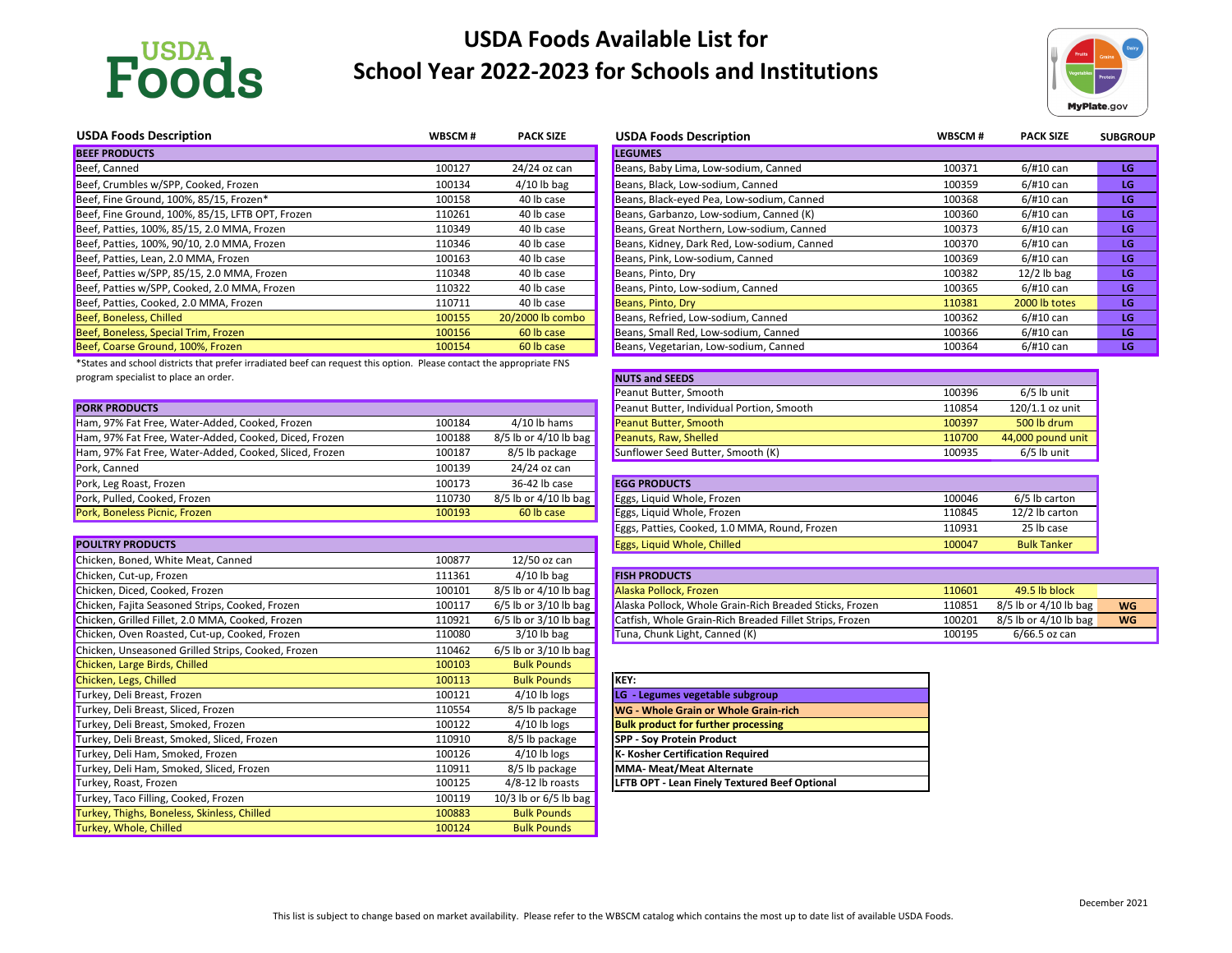

# **USDA Foods Available List for School Year 2022-2023 for Schools and Institutions**

| <b>USDA Foods Description</b>                    | WBSCM# | <b>PACK SIZE</b> | <b>USDA Foods Description</b>               | WBSCM# | <b>PACK SIZE</b> | <b>SUBGROUP</b> |
|--------------------------------------------------|--------|------------------|---------------------------------------------|--------|------------------|-----------------|
| <b>BEEF PRODUCTS</b>                             |        |                  | <b>LEGUMES</b>                              |        |                  |                 |
| Beef, Canned                                     | 100127 | 24/24 oz can     | Beans, Baby Lima, Low-sodium, Canned        | 100371 | 6/#10 can        | LG              |
| Beef, Crumbles w/SPP, Cooked, Frozen             | 100134 | $4/10$ lb bag    | Beans, Black, Low-sodium, Canned            | 100359 | 6/#10 can        | LG              |
| Beef, Fine Ground, 100%, 85/15, Frozen*          | 100158 | 40 lb case       | Beans, Black-eyed Pea, Low-sodium, Canned   | 100368 | 6/#10 can        | LG              |
| Beef, Fine Ground, 100%, 85/15, LFTB OPT, Frozen | 110261 | 40 lb case       | Beans, Garbanzo, Low-sodium, Canned (K)     | 100360 | 6/#10 can        | LG              |
| Beef, Patties, 100%, 85/15, 2.0 MMA, Frozen      | 110349 | 40 lb case       | Beans, Great Northern, Low-sodium, Canned   | 100373 | 6/#10 can        | LG              |
| Beef, Patties, 100%, 90/10, 2.0 MMA, Frozen      | 110346 | 40 lb case       | Beans, Kidney, Dark Red, Low-sodium, Canned | 100370 | 6/#10 can        | LG              |
| Beef, Patties, Lean, 2.0 MMA, Frozen             | 100163 | 40 lb case       | Beans, Pink, Low-sodium, Canned             | 100369 | 6/#10 can        | LG.             |
| Beef, Patties w/SPP, 85/15, 2.0 MMA, Frozen      | 110348 | 40 lb case       | Beans, Pinto, Dry                           | 100382 | $12/2$ lb bag    | LG              |
| Beef, Patties w/SPP, Cooked, 2.0 MMA, Frozen     | 110322 | 40 lb case       | Beans, Pinto, Low-sodium, Canned            | 100365 | 6/#10 can        | LG              |
| Beef, Patties, Cooked, 2.0 MMA, Frozen           | 110711 | 40 lb case       | Beans, Pinto, Dry                           | 110381 | 2000 lb totes    | LG              |
| Beef, Boneless, Chilled                          | 100155 | 20/2000 lb combo | Beans, Refried, Low-sodium, Canned          | 100362 | 6/#10 can        | LG              |
| Beef, Boneless, Special Trim, Frozen             | 100156 | 60 lb case       | Beans, Small Red, Low-sodium, Canned        | 100366 | 6/#10 can        | LG              |
| Beef, Coarse Ground, 100%, Frozen                | 100154 | 60 lb case       | Beans, Vegetarian, Low-sodium, Canned       | 100364 | 6/#10 can        | LG              |

| <b>NUTS and SEEDS</b>                     |        |                   |
|-------------------------------------------|--------|-------------------|
| Peanut Butter, Smooth                     | 100396 | $6/5$ lb unit     |
| Peanut Butter, Individual Portion, Smooth | 110854 | 120/1.1 oz unit   |
| Peanut Butter, Smooth                     | 100397 | 500 lb drum       |
| Peanuts, Raw, Shelled                     | 110700 | 44,000 pound unit |
| Sunflower Seed Butter, Smooth (K)         | 100935 | $6/5$ lb unit     |
|                                           |        |                   |

|                                                        |        |                         |                                           | -----  |                   |
|--------------------------------------------------------|--------|-------------------------|-------------------------------------------|--------|-------------------|
| <b>PORK PRODUCTS</b>                                   |        |                         | Peanut Butter, Individual Portion, Smooth | 110854 | $120/1.1$ oz unit |
| Ham, 97% Fat Free, Water-Added, Cooked, Frozen         | 100184 | $4/10$ lb hams          | <b>Peanut Butter, Smooth</b>              | 100397 | 500 lb drum       |
| Ham, 97% Fat Free, Water-Added, Cooked, Diced, Frozen  | 100188 | $8/5$ lb or 4/10 lb bag | Peanuts, Raw, Shelled                     | 110700 | 44,000 pound unit |
| Ham, 97% Fat Free, Water-Added, Cooked, Sliced, Frozen | 100187 | 8/5 lb package          | Sunflower Seed Butter, Smooth (K)         | 100935 | $6/5$ lb unit     |
| Pork, Canned                                           | 100139 | 24/24 oz can            |                                           |        |                   |
| Pork, Leg Roast, Frozen                                | 100173 | 36-42 lb case           | <b>EGG PRODUCTS</b>                       |        |                   |
| Pork, Pulled, Cooked, Frozen                           | 110730 | $8/5$ lb or 4/10 lb bag | Eggs, Liquid Whole, Frozen                | 100046 | 6/5 lb carton     |
| Pork, Boneless Picnic, Frozen                          | 100193 | 60 lb case              | Eggs, Liquid Whole, Frozen                | 110845 | 12/2 lb carton    |

| <b>EGG PRODUCTS</b>                           |        |                   |
|-----------------------------------------------|--------|-------------------|
| Eggs, Liquid Whole, Frozen                    | 100046 | $6/5$ lb carto    |
| Eggs, Liquid Whole, Frozen                    | 110845 | $12/2$ lb cart    |
| Eggs, Patties, Cooked, 1.0 MMA, Round, Frozen | 110931 | 25 lb case        |
| <b>Eggs, Liquid Whole, Chilled</b>            | 100047 | <b>Bulk Tanke</b> |

| Chicken, Cut-up, Frozen                          | 111361 | $4/10$ lb bag           | <b>FISH PRODUCTS</b>                                    |        |                         |           |
|--------------------------------------------------|--------|-------------------------|---------------------------------------------------------|--------|-------------------------|-----------|
| Chicken, Diced, Cooked, Frozen                   | 100101 | $8/5$ lb or 4/10 lb bag | Alaska Pollock, Frozen                                  | 110601 | 49.5 lb block           |           |
| Chicken, Fajita Seasoned Strips, Cooked, Frozen  | 100117 | 6/5 lb or 3/10 lb bag   | Alaska Pollock, Whole Grain-Rich Breaded Sticks, Frozen | 110851 | $8/5$ lb or 4/10 lb bag | <b>WG</b> |
| Chicken, Grilled Fillet, 2.0 MMA, Cooked, Frozen | 110921 | 6/5 lb or 3/10 lb bag   | Catfish, Whole Grain-Rich Breaded Fillet Strips, Frozen | 100201 | $8/5$ lb or 4/10 lb bag | <b>WG</b> |
| Chicken, Oven Roasted, Cut-up, Cooked, Frozen    | 110080 | $3/10$ lb bag           | Tuna, Chunk Light, Canned (K)                           | 100195 | 6/66.5 oz can           |           |

| <b>KEY:</b>                                          |
|------------------------------------------------------|
| LG - Legumes vegetable subgroup                      |
| <b>WG - Whole Grain or Whole Grain-rich</b>          |
| <b>Bulk product for further processing</b>           |
| <b>SPP - Soy Protein Product</b>                     |
| K- Kosher Certification Required                     |
| MMA- Meat/Meat Alternate                             |
| <b>LFTB OPT - Lean Finely Textured Beef Optional</b> |

| <b>POULTRY PRODUCTS</b>                            |        |                           | <b>Eggs, Liquid Whole, Chilled</b>                      | 100047 | <b>Bulk Tanker</b> |
|----------------------------------------------------|--------|---------------------------|---------------------------------------------------------|--------|--------------------|
| Chicken, Boned, White Meat, Canned                 | 100877 | $12/50$ oz can            |                                                         |        |                    |
| Chicken, Cut-up, Frozen                            | 111361 | $4/10$ lb bag             | <b>FISH PRODUCTS</b>                                    |        |                    |
| Chicken, Diced, Cooked, Frozen                     | 100101 | 8/5 lb or 4/10 lb bag     | Alaska Pollock, Frozen                                  | 110601 | 49.5 lb block      |
| Chicken, Fajita Seasoned Strips, Cooked, Frozen    | 100117 | 6/5 lb or 3/10 lb bag $ $ | Alaska Pollock, Whole Grain-Rich Breaded Sticks, Frozen | 110851 | 8/5 lb or 4/10 lb  |
| Chicken, Grilled Fillet, 2.0 MMA, Cooked, Frozen   | 110921 | $6/5$ lb or 3/10 lb bag   | Catfish, Whole Grain-Rich Breaded Fillet Strips, Frozen | 100201 | 8/5 lb or 4/10 lb  |
| Chicken, Oven Roasted, Cut-up, Cooked, Frozen      | 110080 | $3/10$ lb bag             | Tuna, Chunk Light, Canned (K)                           | 100195 | $6/66.5$ oz can    |
| Chicken, Unseasoned Grilled Strips, Cooked, Frozen | 110462 | $6/5$ lb or 3/10 lb bag   |                                                         |        |                    |
| Chicken, Large Birds, Chilled                      | 100103 | <b>Bulk Pounds</b>        |                                                         |        |                    |
| Chicken, Legs, Chilled                             | 100113 | <b>Bulk Pounds</b>        | KEY:                                                    |        |                    |
| Turkey, Deli Breast, Frozen                        | 100121 | $4/10$ lb logs            | LG - Legumes vegetable subgroup                         |        |                    |
| Turkey, Deli Breast, Sliced, Frozen                | 110554 | 8/5 lb package            | WG - Whole Grain or Whole Grain-rich                    |        |                    |
| Turkey, Deli Breast, Smoked, Frozen                | 100122 | $4/10$ lb logs            | <b>Bulk product for further processing</b>              |        |                    |
| Turkey, Deli Breast, Smoked, Sliced, Frozen        | 110910 | 8/5 lb package            | <b>SPP - Soy Protein Product</b>                        |        |                    |
| Turkey, Deli Ham, Smoked, Frozen                   | 100126 | $4/10$ lb logs            | K- Kosher Certification Required                        |        |                    |
| Turkey, Deli Ham, Smoked, Sliced, Frozen           | 110911 | 8/5 lb package            | <b>MMA- Meat/Meat Alternate</b>                         |        |                    |
| Turkey, Roast, Frozen                              | 100125 | $4/8-12$ lb roasts        | LFTB OPT - Lean Finely Textured Beef Optional           |        |                    |
| Turkey, Taco Filling, Cooked, Frozen               | 100119 | 10/3 lb or $6/5$ lb bag   |                                                         |        |                    |
| Turkey, Thighs, Boneless, Skinless, Chilled        | 100883 | <b>Bulk Pounds</b>        |                                                         |        |                    |
| Turkey, Whole, Chilled                             | 100124 | <b>Bulk Pounds</b>        |                                                         |        |                    |

| <b>USDA Foods Description</b>               |
|---------------------------------------------|
| <b>LEGUMES</b>                              |
| Beans, Baby Lima, Low-sodium, Canned        |
| Beans, Black, Low-sodium, Canned            |
| Beans, Black-eyed Pea, Low-sodium, Canned   |
| Beans, Garbanzo, Low-sodium, Canned (K)     |
| Beans, Great Northern, Low-sodium, Canned   |
| Beans, Kidney, Dark Red, Low-sodium, Canned |
| Beans, Pink, Low-sodium, Canned             |
| Beans, Pinto, Dry                           |
| Beans, Pinto, Low-sodium, Canned            |
| Beans, Pinto, Dry                           |
| Beans, Refried, Low-sodium, Canned          |
| Beans, Small Red, Low-sodium, Canned        |
| Beans, Vegetarian, Low-sodium, Canned       |

\*States and school districts that prefer irradiated beef can request this option. Please contact the appropriate FNS program specialist to place an order.



| WBSCM# | <b>PACK SIZE</b> | <b>SUBGROUP</b> |
|--------|------------------|-----------------|
|        |                  |                 |
| 100371 | $6/$ #10 can     | LG              |
| 100359 | $6/$ #10 can     | LG              |
| 100368 | 6/#10 can        | LG              |
| 100360 | $6/$ #10 can     | LG              |
| 100373 | $6/$ #10 can     | LG              |
| 100370 | $6/$ #10 can     | LG              |
| 100369 | $6/$ #10 can     | LG              |
| 100382 | $12/2$ lb bag    | LG              |
| 100365 | $6/$ #10 can     | LG              |
| 110381 | 2000 lb totes    | LG              |
| 100362 | 6/#10 can        | LG              |
| 100366 | 6/#10 can        | LG              |
| 100364 | 6/#10 can        | LG              |

| 100046 | 6/5 lb carton      |
|--------|--------------------|
| 110845 | 12/2 lb carton     |
| 110931 | 25 lb case         |
| 100047 | <b>Bulk Tanker</b> |
|        |                    |